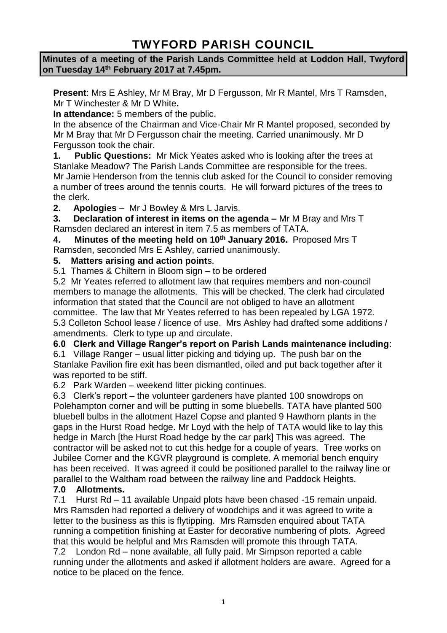# **TWYFORD PARISH COUNCIL**

## **Minutes of a meeting of the Parish Lands Committee held at Loddon Hall, Twyford on Tuesday 14th February 2017 at 7.45pm.**

**Present**: Mrs E Ashley, Mr M Bray, Mr D Fergusson, Mr R Mantel, Mrs T Ramsden, Mr T Winchester & Mr D White**.**

**In attendance:** 5 members of the public.

In the absence of the Chairman and Vice-Chair Mr R Mantel proposed, seconded by Mr M Bray that Mr D Fergusson chair the meeting. Carried unanimously. Mr D Fergusson took the chair.

**1. Public Questions:** Mr Mick Yeates asked who is looking after the trees at Stanlake Meadow? The Parish Lands Committee are responsible for the trees. Mr Jamie Henderson from the tennis club asked for the Council to consider removing a number of trees around the tennis courts. He will forward pictures of the trees to the clerk.

**2. Apologies** – Mr J Bowley & Mrs L Jarvis.

**3. Declaration of interest in items on the agenda –** Mr M Bray and Mrs T Ramsden declared an interest in item 7.5 as members of TATA.

**4. Minutes of the meeting held on 10th January 2016.** Proposed Mrs T Ramsden, seconded Mrs E Ashley, carried unanimously.

## **5. Matters arising and action point**s.

5.1 Thames & Chiltern in Bloom sign – to be ordered

5.2 Mr Yeates referred to allotment law that requires members and non-council members to manage the allotments. This will be checked. The clerk had circulated information that stated that the Council are not obliged to have an allotment committee. The law that Mr Yeates referred to has been repealed by LGA 1972. 5.3 Colleton School lease / licence of use. Mrs Ashley had drafted some additions / amendments. Clerk to type up and circulate.

## **6.0 Clerk and Village Ranger's report on Parish Lands maintenance including**:

6.1 Village Ranger – usual litter picking and tidying up. The push bar on the Stanlake Pavilion fire exit has been dismantled, oiled and put back together after it was reported to be stiff.

6.2 Park Warden – weekend litter picking continues.

6.3 Clerk's report – the volunteer gardeners have planted 100 snowdrops on Polehampton corner and will be putting in some bluebells. TATA have planted 500 bluebell bulbs in the allotment Hazel Copse and planted 9 Hawthorn plants in the gaps in the Hurst Road hedge. Mr Loyd with the help of TATA would like to lay this hedge in March [the Hurst Road hedge by the car park] This was agreed. The contractor will be asked not to cut this hedge for a couple of years. Tree works on Jubilee Corner and the KGVR playground is complete. A memorial bench enquiry has been received. It was agreed it could be positioned parallel to the railway line or parallel to the Waltham road between the railway line and Paddock Heights.

# **7.0 Allotments.**

7.1 Hurst Rd – 11 available Unpaid plots have been chased -15 remain unpaid. Mrs Ramsden had reported a delivery of woodchips and it was agreed to write a letter to the business as this is flytipping. Mrs Ramsden enquired about TATA running a competition finishing at Easter for decorative numbering of plots. Agreed that this would be helpful and Mrs Ramsden will promote this through TATA. 7.2 London Rd – none available, all fully paid. Mr Simpson reported a cable running under the allotments and asked if allotment holders are aware. Agreed for a notice to be placed on the fence.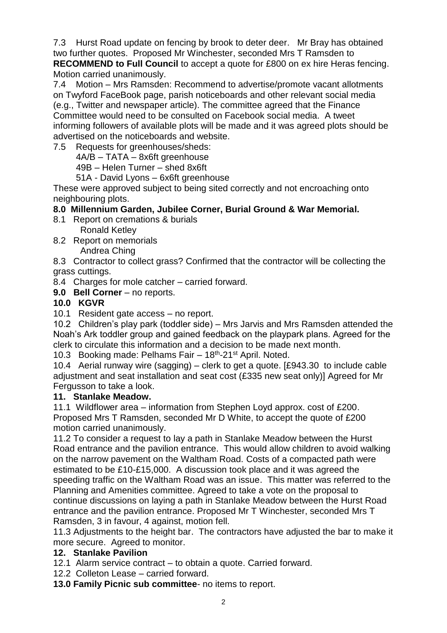7.3 Hurst Road update on fencing by brook to deter deer. Mr Bray has obtained two further quotes. Proposed Mr Winchester, seconded Mrs T Ramsden to **RECOMMEND to Full Council** to accept a quote for £800 on ex hire Heras fencing. Motion carried unanimously.

7.4 Motion – Mrs Ramsden: Recommend to advertise/promote vacant allotments on Twyford FaceBook page, parish noticeboards and other relevant social media (e.g., Twitter and newspaper article). The committee agreed that the Finance Committee would need to be consulted on Facebook social media. A tweet informing followers of available plots will be made and it was agreed plots should be advertised on the noticeboards and website.

7.5 Requests for greenhouses/sheds:

4A/B – TATA – 8x6ft greenhouse

49B – Helen Turner – shed 8x6ft

51A - David Lyons – 6x6ft greenhouse

These were approved subject to being sited correctly and not encroaching onto neighbouring plots.

# **8.0 Millennium Garden, Jubilee Corner, Burial Ground & War Memorial.**

- 8.1 Report on cremations & burials Ronald Ketley
- 8.2 Report on memorials Andrea Ching

8.3 Contractor to collect grass? Confirmed that the contractor will be collecting the grass cuttings.

- 8.4 Charges for mole catcher carried forward.
- **9.0 Bell Corner** no reports.

## **10.0 KGVR**

10.1 Resident gate access – no report.

10.2 Children's play park (toddler side) – Mrs Jarvis and Mrs Ramsden attended the Noah's Ark toddler group and gained feedback on the playpark plans. Agreed for the clerk to circulate this information and a decision to be made next month.

10.3 Booking made: Pelhams Fair - 18<sup>th</sup>-21<sup>st</sup> April. Noted.

10.4 Aerial runway wire (sagging) – clerk to get a quote. [£943.30 to include cable adjustment and seat installation and seat cost (£335 new seat only)] Agreed for Mr Fergusson to take a look.

## **11. Stanlake Meadow.**

11.1 Wildflower area – information from Stephen Loyd approx. cost of £200. Proposed Mrs T Ramsden, seconded Mr D White, to accept the quote of £200 motion carried unanimously.

11.2 To consider a request to lay a path in Stanlake Meadow between the Hurst Road entrance and the pavilion entrance. This would allow children to avoid walking on the narrow pavement on the Waltham Road. Costs of a compacted path were estimated to be £10-£15,000. A discussion took place and it was agreed the speeding traffic on the Waltham Road was an issue. This matter was referred to the Planning and Amenities committee. Agreed to take a vote on the proposal to continue discussions on laying a path in Stanlake Meadow between the Hurst Road entrance and the pavilion entrance. Proposed Mr T Winchester, seconded Mrs T Ramsden, 3 in favour, 4 against, motion fell.

11.3 Adjustments to the height bar. The contractors have adjusted the bar to make it more secure. Agreed to monitor.

## **12. Stanlake Pavilion**

12.1 Alarm service contract – to obtain a quote. Carried forward.

12.2 Colleton Lease – carried forward.

**13.0 Family Picnic sub committee**- no items to report.